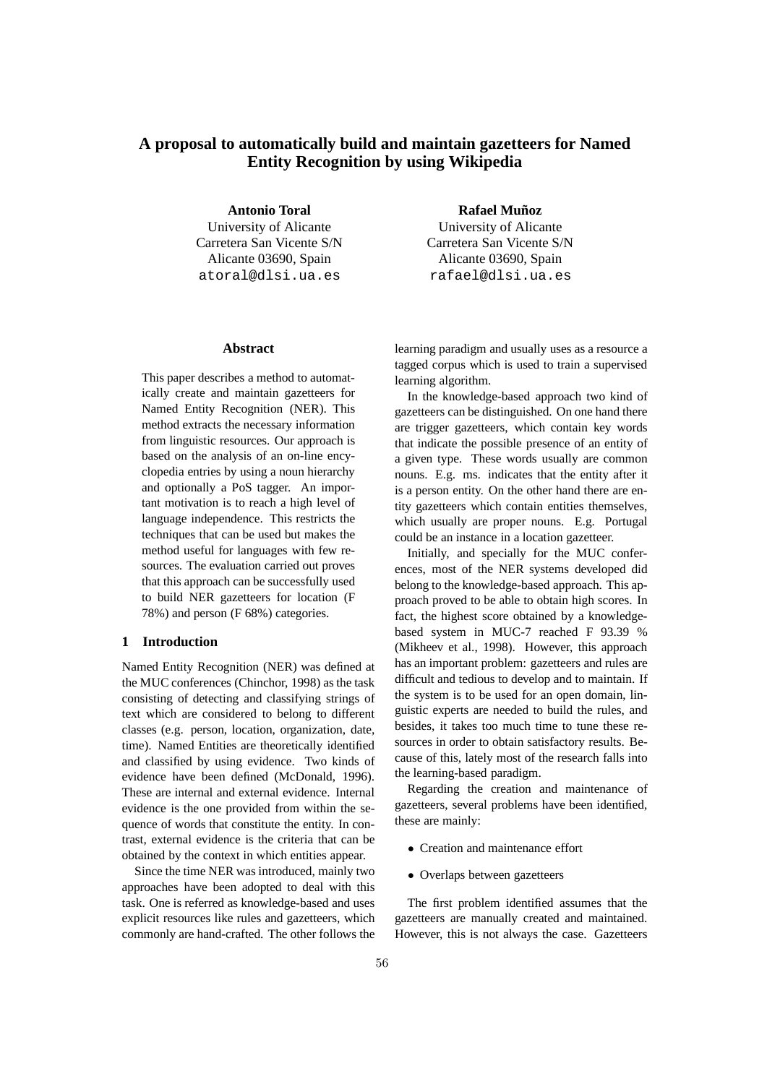# **A proposal to automatically build and maintain gazetteers for Named Entity Recognition by using Wikipedia**

**Antonio Toral** University of Alicante Carretera San Vicente S/N Alicante 03690, Spain atoral@dlsi.ua.es

#### **Abstract**

This paper describes a method to automatically create and maintain gazetteers for Named Entity Recognition (NER). This method extracts the necessary information from linguistic resources. Our approach is based on the analysis of an on-line encyclopedia entries by using a noun hierarchy and optionally a PoS tagger. An important motivation is to reach a high level of language independence. This restricts the techniques that can be used but makes the method useful for languages with few resources. The evaluation carried out proves that this approach can be successfully used to build NER gazetteers for location (F 78%) and person (F 68%) categories.

# **1 Introduction**

Named Entity Recognition (NER) was defined at the MUC conferences (Chinchor, 1998) as the task consisting of detecting and classifying strings of text which are considered to belong to different classes (e.g. person, location, organization, date, time). Named Entities are theoretically identified and classified by using evidence. Two kinds of evidence have been defined (McDonald, 1996). These are internal and external evidence. Internal evidence is the one provided from within the sequence of words that constitute the entity. In contrast, external evidence is the criteria that can be obtained by the context in which entities appear.

Since the time NER was introduced, mainly two approaches have been adopted to deal with this task. One is referred as knowledge-based and uses explicit resources like rules and gazetteers, which commonly are hand-crafted. The other follows the

**Rafael Muñoz** University of Alicante Carretera San Vicente S/N Alicante 03690, Spain rafael@dlsi.ua.es

learning paradigm and usually uses as a resource a tagged corpus which is used to train a supervised learning algorithm.

In the knowledge-based approach two kind of gazetteers can be distinguished. On one hand there are trigger gazetteers, which contain key words that indicate the possible presence of an entity of a given type. These words usually are common nouns. E.g. ms. indicates that the entity after it is a person entity. On the other hand there are entity gazetteers which contain entities themselves, which usually are proper nouns. E.g. Portugal could be an instance in a location gazetteer.

Initially, and specially for the MUC conferences, most of the NER systems developed did belong to the knowledge-based approach. This approach proved to be able to obtain high scores. In fact, the highest score obtained by a knowledgebased system in MUC-7 reached F 93.39 % (Mikheev et al., 1998). However, this approach has an important problem: gazetteers and rules are difficult and tedious to develop and to maintain. If the system is to be used for an open domain, linguistic experts are needed to build the rules, and besides, it takes too much time to tune these resources in order to obtain satisfactory results. Because of this, lately most of the research falls into the learning-based paradigm.

Regarding the creation and maintenance of gazetteers, several problems have been identified, these are mainly:

- Creation and maintenance effort
- Overlaps between gazetteers

The first problem identified assumes that the gazetteers are manually created and maintained. However, this is not always the case. Gazetteers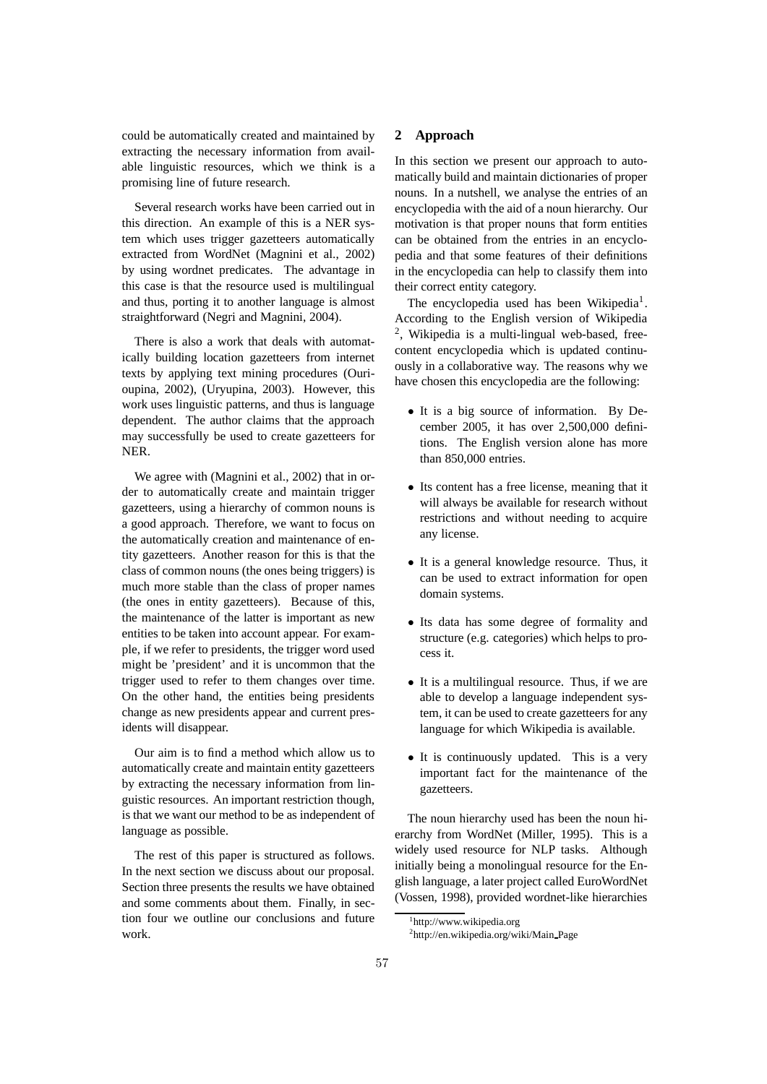could be automatically created and maintained by extracting the necessary information from available linguistic resources, which we think is a promising line of future research.

Several research works have been carried out in this direction. An example of this is a NER system which uses trigger gazetteers automatically extracted from WordNet (Magnini et al., 2002) by using wordnet predicates. The advantage in this case is that the resource used is multilingual and thus, porting it to another language is almost straightforward (Negri and Magnini, 2004).

There is also a work that deals with automatically building location gazetteers from internet texts by applying text mining procedures (Ourioupina, 2002), (Uryupina, 2003). However, this work uses linguistic patterns, and thus is language dependent. The author claims that the approach may successfully be used to create gazetteers for NER.

We agree with (Magnini et al., 2002) that in order to automatically create and maintain trigger gazetteers, using a hierarchy of common nouns is a good approach. Therefore, we want to focus on the automatically creation and maintenance of entity gazetteers. Another reason for this is that the class of common nouns (the ones being triggers) is much more stable than the class of proper names (the ones in entity gazetteers). Because of this, the maintenance of the latter is important as new entities to be taken into account appear. For example, if we refer to presidents, the trigger word used might be 'president' and it is uncommon that the trigger used to refer to them changes over time. On the other hand, the entities being presidents change as new presidents appear and current presidents will disappear.

Our aim is to find a method which allow us to automatically create and maintain entity gazetteers by extracting the necessary information from linguistic resources. An important restriction though, is that we want our method to be as independent of language as possible.

The rest of this paper is structured as follows. In the next section we discuss about our proposal. Section three presents the results we have obtained and some comments about them. Finally, in section four we outline our conclusions and future work.

### **2 Approach**

In this section we present our approach to automatically build and maintain dictionaries of proper nouns. In a nutshell, we analyse the entries of an encyclopedia with the aid of a noun hierarchy. Our motivation is that proper nouns that form entities can be obtained from the entries in an encyclopedia and that some features of their definitions in the encyclopedia can help to classify them into their correct entity category.

The encyclopedia used has been Wikipedia<sup>1</sup>. According to the English version of Wikipedia <sup>2</sup>, Wikipedia is a multi-lingual web-based, freecontent encyclopedia which is updated continuously in a collaborative way. The reasons why we have chosen this encyclopedia are the following:

- It is a big source of information. By December 2005, it has over 2,500,000 definitions. The English version alone has more than 850,000 entries.
- Its content has a free license, meaning that it will always be available for research without restrictions and without needing to acquire any license.
- It is a general knowledge resource. Thus, it can be used to extract information for open domain systems.
- Its data has some degree of formality and structure (e.g. categories) which helps to process it.
- It is a multilingual resource. Thus, if we are able to develop a language independent system, it can be used to create gazetteers for any language for which Wikipedia is available.
- It is continuously updated. This is a very important fact for the maintenance of the gazetteers.

The noun hierarchy used has been the noun hierarchy from WordNet (Miller, 1995). This is a widely used resource for NLP tasks. Although initially being a monolingual resource for the English language, a later project called EuroWordNet (Vossen, 1998), provided wordnet-like hierarchies

<sup>1</sup>http://www.wikipedia.org

<sup>2</sup> http://en.wikipedia.org/wiki/Main Page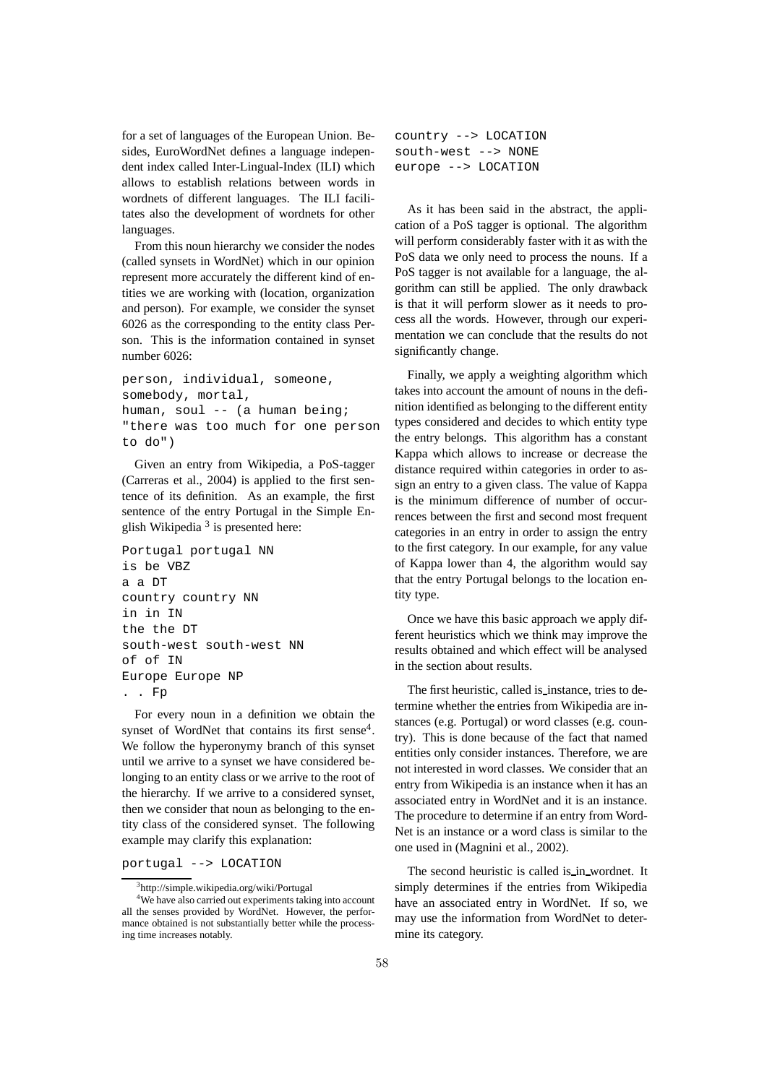for a set of languages of the European Union. Besides, EuroWordNet defines a language independent index called Inter-Lingual-Index (ILI) which allows to establish relations between words in wordnets of different languages. The ILI facilitates also the development of wordnets for other languages.

From this noun hierarchy we consider the nodes (called synsets in WordNet) which in our opinion represent more accurately the different kind of entities we are working with (location, organization and person). For example, we consider the synset 6026 as the corresponding to the entity class Person. This is the information contained in synset number 6026:

```
person, individual, someone,
somebody, mortal,
human, soul -- (a human being;
"there was too much for one person
to do")
```
Given an entry from Wikipedia, a PoS-tagger (Carreras et al., 2004) is applied to the first sentence of its definition. As an example, the first sentence of the entry Portugal in the Simple English Wikipedia<sup>3</sup> is presented here:

```
Portugal portugal NN
is be VBZ
a a DT
country country NN
in in IN
the the DT
south-west south-west NN
of of IN
Europe Europe NP
. . Fp
```
For every noun in a definition we obtain the synset of WordNet that contains its first sense $4$ . We follow the hyperonymy branch of this synset until we arrive to a synset we have considered belonging to an entity class or we arrive to the root of the hierarchy. If we arrive to a considered synset, then we consider that noun as belonging to the entity class of the considered synset. The following example may clarify this explanation:

#### portugal --> LOCATION

```
country --> LOCATION
south-west --> NONE
europe --> LOCATION
```
As it has been said in the abstract, the application of a PoS tagger is optional. The algorithm will perform considerably faster with it as with the PoS data we only need to process the nouns. If a PoS tagger is not available for a language, the algorithm can still be applied. The only drawback is that it will perform slower as it needs to process all the words. However, through our experimentation we can conclude that the results do not significantly change.

Finally, we apply a weighting algorithm which takes into account the amount of nouns in the definition identified as belonging to the different entity types considered and decides to which entity type the entry belongs. This algorithm has a constant Kappa which allows to increase or decrease the distance required within categories in order to assign an entry to a given class. The value of Kappa is the minimum difference of number of occurrences between the first and second most frequent categories in an entry in order to assign the entry to the first category. In our example, for any value of Kappa lower than 4, the algorithm would say that the entry Portugal belongs to the location entity type.

Once we have this basic approach we apply different heuristics which we think may improve the results obtained and which effect will be analysed in the section about results.

The first heuristic, called is instance, tries to determine whether the entries from Wikipedia are instances (e.g. Portugal) or word classes (e.g. country). This is done because of the fact that named entities only consider instances. Therefore, we are not interested in word classes. We consider that an entry from Wikipedia is an instance when it has an associated entry in WordNet and it is an instance. The procedure to determine if an entry from Word-Net is an instance or a word class is similar to the one used in (Magnini et al., 2002).

The second heuristic is called is in wordnet. It simply determines if the entries from Wikipedia have an associated entry in WordNet. If so, we may use the information from WordNet to determine its category.

<sup>3</sup>http://simple.wikipedia.org/wiki/Portugal

<sup>&</sup>lt;sup>4</sup>We have also carried out experiments taking into account all the senses provided by WordNet. However, the performance obtained is not substantially better while the processing time increases notably.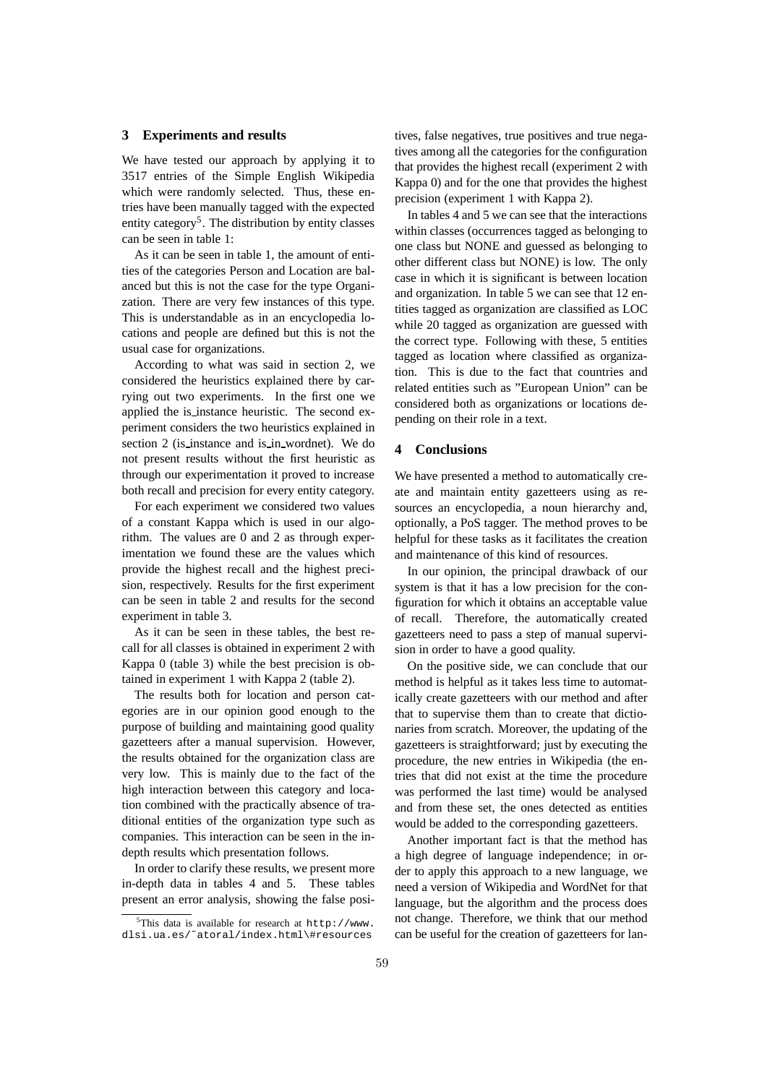#### **3 Experiments and results**

We have tested our approach by applying it to 3517 entries of the Simple English Wikipedia which were randomly selected. Thus, these entries have been manually tagged with the expected entity category<sup>5</sup>. The distribution by entity classes can be seen in table 1:

As it can be seen in table 1, the amount of entities of the categories Person and Location are balanced but this is not the case for the type Organization. There are very few instances of this type. This is understandable as in an encyclopedia locations and people are defined but this is not the usual case for organizations.

According to what was said in section 2, we considered the heuristics explained there by carrying out two experiments. In the first one we applied the is instance heuristic. The second experiment considers the two heuristics explained in section 2 (is instance and is in wordnet). We do not present results without the first heuristic as through our experimentation it proved to increase both recall and precision for every entity category.

For each experiment we considered two values of a constant Kappa which is used in our algorithm. The values are 0 and 2 as through experimentation we found these are the values which provide the highest recall and the highest precision, respectively. Results for the first experiment can be seen in table 2 and results for the second experiment in table 3.

As it can be seen in these tables, the best recall for all classes is obtained in experiment 2 with Kappa 0 (table 3) while the best precision is obtained in experiment 1 with Kappa 2 (table 2).

The results both for location and person categories are in our opinion good enough to the purpose of building and maintaining good quality gazetteers after a manual supervision. However, the results obtained for the organization class are very low. This is mainly due to the fact of the high interaction between this category and location combined with the practically absence of traditional entities of the organization type such as companies. This interaction can be seen in the indepth results which presentation follows.

In order to clarify these results, we present more in-depth data in tables 4 and 5. These tables present an error analysis, showing the false positives, false negatives, true positives and true negatives among all the categories for the configuration that provides the highest recall (experiment 2 with Kappa 0) and for the one that provides the highest precision (experiment 1 with Kappa 2).

In tables 4 and 5 we can see that the interactions within classes (occurrences tagged as belonging to one class but NONE and guessed as belonging to other different class but NONE) is low. The only case in which it is significant is between location and organization. In table 5 we can see that 12 entities tagged as organization are classified as LOC while 20 tagged as organization are guessed with the correct type. Following with these, 5 entities tagged as location where classified as organization. This is due to the fact that countries and related entities such as "European Union" can be considered both as organizations or locations depending on their role in a text.

# **4 Conclusions**

We have presented a method to automatically create and maintain entity gazetteers using as resources an encyclopedia, a noun hierarchy and, optionally, a PoS tagger. The method proves to be helpful for these tasks as it facilitates the creation and maintenance of this kind of resources.

In our opinion, the principal drawback of our system is that it has a low precision for the configuration for which it obtains an acceptable value of recall. Therefore, the automatically created gazetteers need to pass a step of manual supervision in order to have a good quality.

On the positive side, we can conclude that our method is helpful as it takes less time to automatically create gazetteers with our method and after that to supervise them than to create that dictionaries from scratch. Moreover, the updating of the gazetteers is straightforward; just by executing the procedure, the new entries in Wikipedia (the entries that did not exist at the time the procedure was performed the last time) would be analysed and from these set, the ones detected as entities would be added to the corresponding gazetteers.

Another important fact is that the method has a high degree of language independence; in order to apply this approach to a new language, we need a version of Wikipedia and WordNet for that language, but the algorithm and the process does not change. Therefore, we think that our method can be useful for the creation of gazetteers for lan-

 $5$ This data is available for research at http://www. dlsi.ua.es/˜atoral/index.html\#resources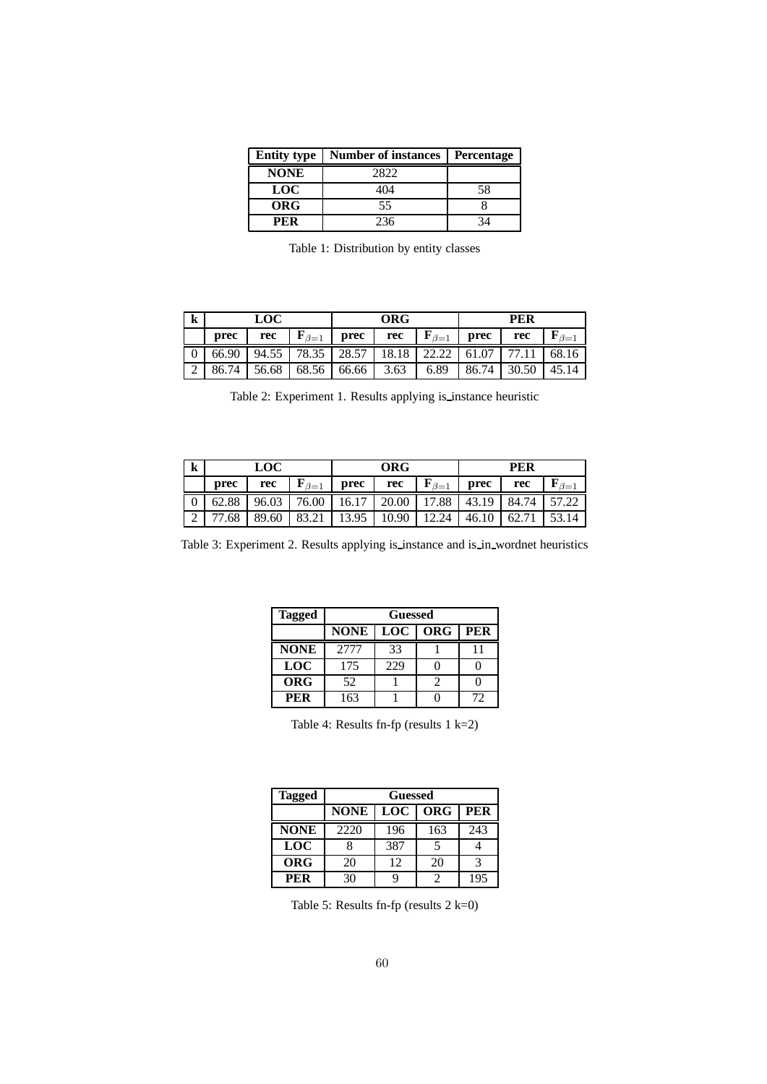| <b>Entity type</b> | <b>Number of instances</b> | <b>Percentage</b> |
|--------------------|----------------------------|-------------------|
| <b>NONE</b>        | 2822                       |                   |
| <b>LOC</b>         | 404                        | 58                |
| <b>ORG</b>         | 55                         |                   |
| PER                | 236                        | 31                |

Table 1: Distribution by entity classes

| k | LOC   |       | ORG                 |                         |      | <b>PER</b>             |       |       |                     |
|---|-------|-------|---------------------|-------------------------|------|------------------------|-------|-------|---------------------|
|   | prec  | rec   | ${\bf F}_{\beta=1}$ | <b>prec</b>             | rec  | $\mathbf{F}_{\beta=1}$ | prec  | rec   | ${\bf F}_{\beta=1}$ |
|   | 66.90 |       |                     | $94.55$   78.35   28.57 |      | 18.18 22.22            | 61.07 |       | 68.16               |
|   | 86.74 | 56.68 | 68.56               | 66.66                   | 3.63 | 6.89                   | 86.74 | 30.50 | 45.14               |

Table 2: Experiment 1. Results applying is instance heuristic

| k | <b>LOC</b> |       | <b>ORG</b>                                    |       |       | <b>PER</b>          |       |       |       |
|---|------------|-------|-----------------------------------------------|-------|-------|---------------------|-------|-------|-------|
|   | prec       | rec   | ${\bf F}_{\beta=1}$                           | prec  | rec   | ${\bf F}_{\beta=1}$ | prec  | rec   |       |
|   | 62.88      | 96.03 | 76.00   16.17   20.00   17.88   43.19   84.74 |       |       |                     |       |       | 57.22 |
|   |            | 89.60 | 83.21                                         | 13.95 | 10.90 | 12.24               | 46.10 | 62.71 | 53.14 |

Table 3: Experiment 2. Results applying is instance and is in wordnet heuristics

| <b>Tagged</b> | Guessed     |     |     |     |  |
|---------------|-------------|-----|-----|-----|--|
|               | <b>NONE</b> | LOC | ORG | PER |  |
| <b>NONE</b>   | 2777        | 33  |     |     |  |
| <b>LOC</b>    | 175         | 229 |     |     |  |
| <b>ORG</b>    | 52          |     |     |     |  |
| <b>PER</b>    | 163         |     |     | 72  |  |

Table 4: Results fn-fp (results 1 k=2)

| <b>Tagged</b> | Guessed     |     |     |     |  |
|---------------|-------------|-----|-----|-----|--|
|               | <b>NONE</b> | LOC | ORG | PER |  |
| <b>NONE</b>   | 2220        | 196 | 163 | 243 |  |
| <b>LOC</b>    |             | 387 |     |     |  |
| <b>ORG</b>    | 20          | 12  | 20  | 3   |  |
| <b>PER</b>    | 30          |     |     | 195 |  |

Table 5: Results fn-fp (results 2 k=0)